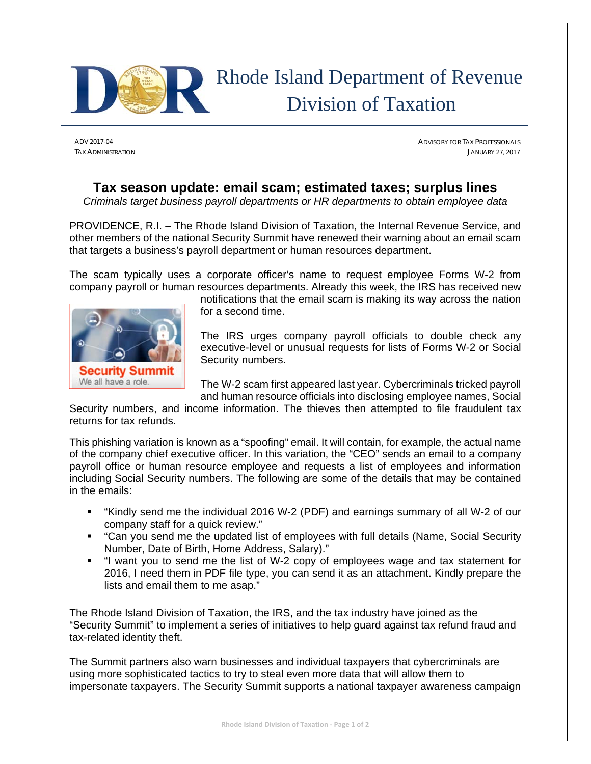

# Rhode Island Department of Revenue Division of Taxation

ADV 2017-04 ADVISORY FOR TAX PROFESSIONALS TAX ADMINISTRATION JANUARY 27, 2017

## **Tax season update: email scam; estimated taxes; surplus lines**

*Criminals target business payroll departments or HR departments to obtain employee data* 

PROVIDENCE, R.I. – The Rhode Island Division of Taxation, the Internal Revenue Service, and other members of the national Security Summit have renewed their warning about an email scam that targets a business's payroll department or human resources department.

The scam typically uses a corporate officer's name to request employee Forms W-2 from company payroll or human resources departments. Already this week, the IRS has received new



notifications that the email scam is making its way across the nation for a second time.

The IRS urges company payroll officials to double check any executive-level or unusual requests for lists of Forms W-2 or Social Security numbers.

The W-2 scam first appeared last year. Cybercriminals tricked payroll and human resource officials into disclosing employee names, Social

Security numbers, and income information. The thieves then attempted to file fraudulent tax returns for tax refunds.

This phishing variation is known as a "spoofing" email. It will contain, for example, the actual name of the company chief executive officer. In this variation, the "CEO" sends an email to a company payroll office or human resource employee and requests a list of employees and information including Social Security numbers. The following are some of the details that may be contained in the emails:

- "Kindly send me the individual 2016 W-2 (PDF) and earnings summary of all W-2 of our company staff for a quick review."
- "Can you send me the updated list of employees with full details (Name, Social Security Number, Date of Birth, Home Address, Salary)."
- "I want you to send me the list of W-2 copy of employees wage and tax statement for 2016, I need them in PDF file type, you can send it as an attachment. Kindly prepare the lists and email them to me asap."

The Rhode Island Division of Taxation, the IRS, and the tax industry have joined as the "Security Summit" to implement a series of initiatives to help guard against tax refund fraud and tax-related identity theft.

The Summit partners also warn businesses and individual taxpayers that cybercriminals are using more sophisticated tactics to try to steal even more data that will allow them to impersonate taxpayers. The Security Summit supports a national taxpayer awareness campaign